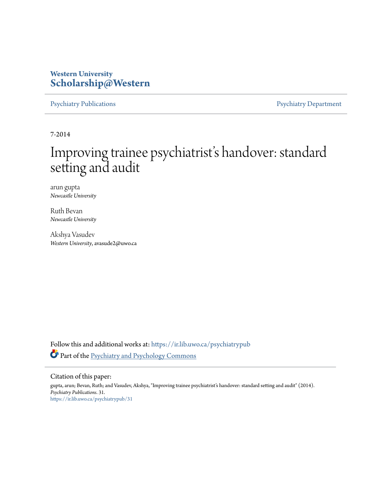### **Western University [Scholarship@Western](https://ir.lib.uwo.ca?utm_source=ir.lib.uwo.ca%2Fpsychiatrypub%2F31&utm_medium=PDF&utm_campaign=PDFCoverPages)**

[Psychiatry Publications](https://ir.lib.uwo.ca/psychiatrypub?utm_source=ir.lib.uwo.ca%2Fpsychiatrypub%2F31&utm_medium=PDF&utm_campaign=PDFCoverPages) **[Psychiatry Department](https://ir.lib.uwo.ca/psychiatry?utm_source=ir.lib.uwo.ca%2Fpsychiatrypub%2F31&utm_medium=PDF&utm_campaign=PDFCoverPages)** 

7-2014

# Improving trainee psychiatrist's handover: standard setting and audit

arun gupta *Newcastle University*

Ruth Bevan *Newcastle University*

Akshya Vasudev *Western University*, avasude2@uwo.ca

Follow this and additional works at: [https://ir.lib.uwo.ca/psychiatrypub](https://ir.lib.uwo.ca/psychiatrypub?utm_source=ir.lib.uwo.ca%2Fpsychiatrypub%2F31&utm_medium=PDF&utm_campaign=PDFCoverPages) Part of the [Psychiatry and Psychology Commons](http://network.bepress.com/hgg/discipline/908?utm_source=ir.lib.uwo.ca%2Fpsychiatrypub%2F31&utm_medium=PDF&utm_campaign=PDFCoverPages)

Citation of this paper:

gupta, arun; Bevan, Ruth; and Vasudev, Akshya, "Improving trainee psychiatrist's handover: standard setting and audit" (2014). *Psychiatry Publications*. 31. [https://ir.lib.uwo.ca/psychiatrypub/31](https://ir.lib.uwo.ca/psychiatrypub/31?utm_source=ir.lib.uwo.ca%2Fpsychiatrypub%2F31&utm_medium=PDF&utm_campaign=PDFCoverPages)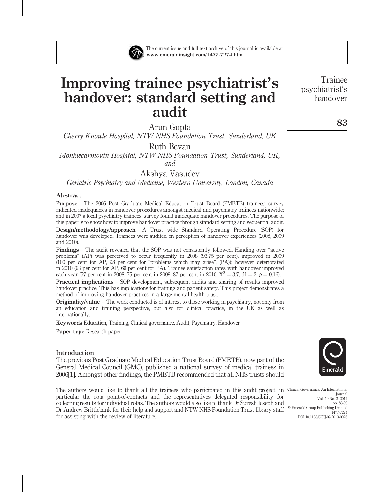

## Improving trainee psychiatrist's handover: standard setting and audit

Arun Gupta

Cherry Knowle Hospital, NTW NHS Foundation Trust, Sunderland, UK

Ruth Bevan

Monkwearmouth Hospital, NTW NHS Foundation Trust, Sunderland, UK, and

Akshya Vasudev

Geriatric Psychiatry and Medicine, Western University, London, Canada

#### Abstract

Purpose – The 2006 Post Graduate Medical Education Trust Board (PMETB) trainees' survey indicated inadequacies in handover procedures amongst medical and psychiatry trainees nationwide; and in 2007 a local psychiatry trainees' survey found inadequate handover procedures. The purpose of this paper is to show how to improve handover practice through standard setting and sequential audit.

Design/methodology/approach – A Trust wide Standard Operating Procedure (SOP) for handover was developed. Trainees were audited on perception of handover experiences (2008, 2009 and 2010).

Findings – The audit revealed that the SOP was not consistently followed. Handing over "active problems" (AP) was perceived to occur frequently in 2008 (93.75 per cent), improved in 2009 (100 per cent for AP, 98 per cent for "problems which may arise", (PA)); however deteriorated in 2010 (93 per cent for AP, 69 per cent for PA). Trainee satisfaction rates with handover improved each year (57 per cent in 2008, 75 per cent in 2009, 87 per cent in 2010,  $X^2 = 3.7$ , df = 2, p = 0.16).

Practical implications – SOP development, subsequent audits and sharing of results improved handover practice. This has implications for training and patient safety. This project demonstrates a method of improving handover practices in a large mental health trust.

Originality/value – The work conducted is of interest to those working in psychiatry, not only from an education and training perspective, but also for clinical practice, in the UK as well as internationally.

Keywords Education, Training, Clinical governance, Audit, Psychiatry, Handover

Paper type Research paper

#### Introduction

The previous Post Graduate Medical Education Trust Board (PMETB), now part of the General Medical Council (GMC), published a national survey of medical trainees in 2006[1]. Amongst other findings, the PMETB recommended that all NHS trusts should

The authors would like to thank all the trainees who participated in this audit project, in Clinical Governance: An International particular the rota point-of-contacts and the representatives delegated responsibility for collecting results for individual rotas. The authors would also like to thank Dr Suresh Joseph and Dr Andrew Brittlebank for their help and support and NTW NHS Foundation Trust library staff for assisting with the review of literature.



 $©$  Emerald Group Publishing Limited

DOI 10.1108/CGIJ-07-2013-0026

Journal Vol. 19 No. 2, 2014 pp. 83-93

1477-7274

Trainee psychiatrist's handover

83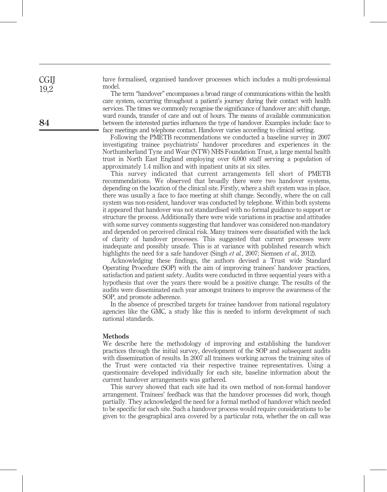have formalised, organised handover processes which includes a multi-professional model.

The term "handover" encompasses a broad range of communications within the health care system, occurring throughout a patient's journey during their contact with health services. The times we commonly recognise the significance of handover are: shift change, ward rounds, transfer of care and out of hours. The means of available communication between the interested parties influences the type of handover. Examples include: face to face meetings and telephone contact. Handover varies according to clinical setting.

Following the PMETB recommendations we conducted a baseline survey in 2007 investigating trainee psychiatrists' handover procedures and experiences in the Northumberland Tyne and Wear (NTW) NHS Foundation Trust, a large mental health trust in North East England employing over 6,000 staff serving a population of approximately 1.4 million and with inpatient units at six sites.

This survey indicated that current arrangements fell short of PMETB recommendations. We observed that broadly there were two handover systems, depending on the location of the clinical site. Firstly, where a shift system was in place, there was usually a face to face meeting at shift change. Secondly, where the on call system was non-resident, handover was conducted by telephone. Within both systems it appeared that handover was not standardised with no formal guidance to support or structure the process. Additionally there were wide variations in practise and attitudes with some survey comments suggesting that handover was considered non-mandatory and depended on perceived clinical risk. Many trainees were dissatisfied with the lack of clarity of handover processes. This suggested that current processes were inadequate and possibly unsafe. This is at variance with published research which highlights the need for a safe handover (Singh *et al.*, 2007; Siemsen *et al.*, 2012).

Acknowledging these findings, the authors devised a Trust wide Standard Operating Procedure (SOP) with the aim of improving trainees' handover practices, satisfaction and patient safety. Audits were conducted in three sequential years with a hypothesis that over the years there would be a positive change. The results of the audits were disseminated each year amongst trainees to improve the awareness of the SOP, and promote adherence.

In the absence of prescribed targets for trainee handover from national regulatory agencies like the GMC, a study like this is needed to inform development of such national standards.

#### **Methods**

We describe here the methodology of improving and establishing the handover practices through the initial survey, development of the SOP and subsequent audits with dissemination of results. In 2007 all trainees working across the training sites of the Trust were contacted via their respective trainee representatives. Using a questionnaire developed individually for each site, baseline information about the current handover arrangements was gathered.

This survey showed that each site had its own method of non-formal handover arrangement. Trainees' feedback was that the handover processes did work, though partially. They acknowledged the need for a formal method of handover which needed to be specific for each site. Such a handover process would require considerations to be given to: the geographical area covered by a particular rota, whether the on call was

**CGII** 19,2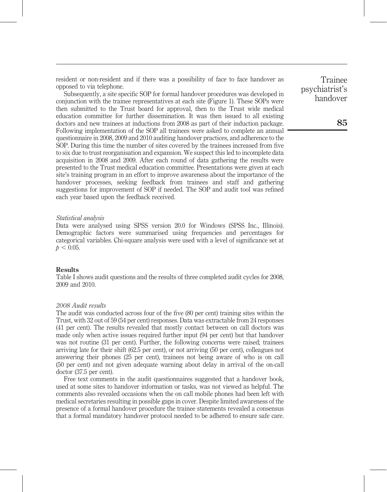resident or non-resident and if there was a possibility of face to face handover as opposed to via telephone.

Subsequently, a site specific SOP for formal handover procedures was developed in conjunction with the trainee representatives at each site (Figure 1). These SOPs were then submitted to the Trust board for approval, then to the Trust wide medical education committee for further dissemination. It was then issued to all existing doctors and new trainees at inductions from 2008 as part of their induction package. Following implementation of the SOP all trainees were asked to complete an annual questionnaire in 2008, 2009 and 2010 auditing handover practices, and adherence to the SOP. During this time the number of sites covered by the trainees increased from five to six due to trust reorganisation and expansion. We suspect this led to incomplete data acquisition in 2008 and 2009. After each round of data gathering the results were presented to the Trust medical education committee. Presentations were given at each site's training program in an effort to improve awareness about the importance of the handover processes, seeking feedback from trainees and staff and gathering suggestions for improvement of SOP if needed. The SOP and audit tool was refined each year based upon the feedback received.

#### Statistical analysis

Data were analysed using SPSS version 20.0 for Windows (SPSS Inc., Illinois). Demographic factors were summarised using frequencies and percentages for categorical variables. Chi-square analysis were used with a level of significance set at  $p < 0.05$ .

#### **Results**

Table I shows audit questions and the results of three completed audit cycles for 2008, 2009 and 2010.

#### 2008 Audit results

The audit was conducted across four of the five (80 per cent) training sites within the Trust, with 32 out of 59 (54 per cent) responses. Data was extractable from 24 responses (41 per cent). The results revealed that mostly contact between on call doctors was made only when active issues required further input (94 per cent) but that handover was not routine (31 per cent). Further, the following concerns were raised; trainees arriving late for their shift (62.5 per cent), or not arriving (50 per cent), colleagues not answering their phones (25 per cent), trainees not being aware of who is on call (50 per cent) and not given adequate warning about delay in arrival of the on-call doctor (37.5 per cent).

Free text comments in the audit questionnaires suggested that a handover book, used at some sites to handover information or tasks, was not viewed as helpful. The comments also revealed occasions when the on call mobile phones had been left with medical secretaries resulting in possible gaps in cover. Despite limited awareness of the presence of a formal handover procedure the trainee statements revealed a consensus that a formal mandatory handover protocol needed to be adhered to ensure safe care.

Trainee psychiatrist's handover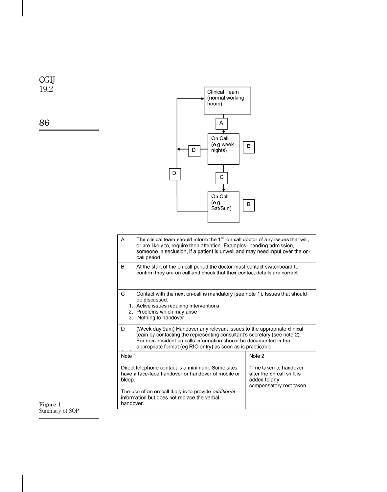

86



- The clinical team should inform the 1<sup>st</sup> on call doctor of any issues that will, A or are likely to, require their attention. Examples- pending admission, someone in seclusion, if a patient is unwell and may need input over the oncall period.
- B At the start of the on call period the doctor must contact switchboard to confirm they are on call and check that their contact details are correct.
- $\mathsf{C}$ Contact with the next on-call is mandatory (see note 1). Issues that should be discussed:
	- 1. Active issues requiring interventions
	- 2. Problems which may arise
	- 3. Nothing to handover
- D (Week day 9am) Handover any relevant issues to the appropriate clinical team by contacting the representing consultant's secretary (see note 2). For non- resident on calls information should be documented in the appropriate format (eg RIO entry) as soon as is practicable.

| Note 1                                                                                                            | Note 2                                                                                          |
|-------------------------------------------------------------------------------------------------------------------|-------------------------------------------------------------------------------------------------|
| Direct telephone contact is a minimum. Some sites<br>have a face-face handover or handover of mobile or<br>bleep. | Time taken to handover<br>after the on call shift is<br>added to any<br>compensatory rest taker |
| The use of an an call diany is to provide additional                                                              |                                                                                                 |

ry rest taken. The use of an on call diary is to provide additional information but does not replace the verbal handover.

#### Figure 1. Summary of SOP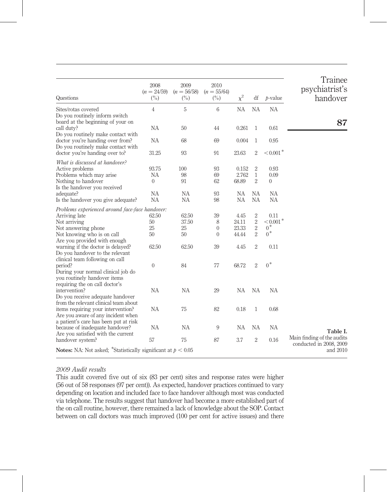| Questions                                                                                                                                                                                                  | 2008<br>$(n = 24/59)$<br>$(\%)$      | 2009<br>$(n = 56/58)$<br>$\binom{0}{0}$ | 2010<br>$(n = 55/64)$<br>$\binom{0}{0}$     | $\chi^2$                                | df                                                           | $b-value$                                                | Trainee<br>psychiatrist's<br>handover                 |
|------------------------------------------------------------------------------------------------------------------------------------------------------------------------------------------------------------|--------------------------------------|-----------------------------------------|---------------------------------------------|-----------------------------------------|--------------------------------------------------------------|----------------------------------------------------------|-------------------------------------------------------|
| Sites/rotas covered<br>Do you routinely inform switch                                                                                                                                                      | $\overline{4}$                       | $\mathbf 5$                             | 6                                           | <b>NA</b>                               | <b>NA</b>                                                    | NA                                                       |                                                       |
| board at the beginning of your on<br>call duty?                                                                                                                                                            | NA                                   | 50                                      | 44                                          | 0.261                                   | $\mathbf{1}$                                                 | 0.61                                                     | 87                                                    |
| Do you routinely make contact with<br>doctor you're handing over from?<br>Do you routinely make contact with                                                                                               | NA                                   | 68                                      | 69                                          | 0.004                                   | $\mathbf{1}$                                                 | 0.95                                                     |                                                       |
| doctor you're handing over to?                                                                                                                                                                             | 31.25                                | 93                                      | 91                                          | 23.63                                   | $\sqrt{2}$                                                   | $< 0.001$ <sup>*</sup>                                   |                                                       |
| What is discussed at handover?<br>Active problems<br>Problems which may arise<br>Nothing to handover<br>Is the handover you received<br>adequate?                                                          | 93.75<br>NA<br>$\Omega$<br><b>NA</b> | 100<br>98<br>91<br><b>NA</b>            | 93<br>69<br>62<br>93                        | 0.152<br>2.762<br>68.89<br><b>NA</b>    | $\overline{2}$<br>$\mathbf{1}$<br>$\overline{2}$<br>NА       | 0.93<br>0.09<br>$\theta$<br><b>NA</b>                    |                                                       |
| Is the handover you give adequate?                                                                                                                                                                         | <b>NA</b>                            | <b>NA</b>                               | 98                                          | <b>NA</b>                               | <b>NA</b>                                                    | <b>NA</b>                                                |                                                       |
| Problems experienced around face-face handover:<br>Arriving late<br>Not arriving<br>Not answering phone<br>Not knowing who is on call<br>Are you provided with enough<br>warning if the doctor is delayed? | 62.50<br>50<br>25<br>50<br>62.50     | 62.50<br>37.50<br>25<br>50<br>62.50     | 39<br>8<br>$\overline{0}$<br>$\theta$<br>39 | 4.45<br>24.11<br>23.33<br>44.44<br>4.45 | 2<br>$\,2$<br>$\sqrt{2}$<br>$\overline{2}$<br>$\overline{2}$ | 0.11<br>$< 0.001$ <sup>*</sup><br>$0^*$<br>$0^*$<br>0.11 |                                                       |
| Do you handover to the relevant<br>clinical team following on call<br>period?<br>During your normal clinical job do<br>you routinely handover items                                                        | $\mathbf{0}$                         | 84                                      | 77                                          | 68.72                                   | $\overline{2}$                                               | $0^*$                                                    |                                                       |
| requiring the on call doctor's<br>intervention?<br>Do you receive adequate handover                                                                                                                        | <b>NA</b>                            | NA                                      | 29                                          | <b>NA</b>                               | NA                                                           | NA                                                       |                                                       |
| from the relevant clinical team about<br>items requiring your intervention?<br>Are you aware of any incident when                                                                                          | <b>NA</b>                            | 75                                      | 82                                          | 0.18                                    | $\mathbf{1}$                                                 | 0.68                                                     |                                                       |
| a patient's care has been put at risk<br>because of inadequate handover?<br>Are you satisfied with the current                                                                                             | <b>NA</b>                            | NA                                      | 9                                           | <b>NA</b>                               | <b>NA</b>                                                    | <b>NA</b>                                                | Table I.                                              |
| handover system?                                                                                                                                                                                           | 57                                   | 75                                      | 87                                          | 3.7                                     | $\sqrt{2}$                                                   | 0.16                                                     | Main finding of the audits<br>conducted in 2008, 2009 |
| <b>Notes:</b> NA: Not asked; *Statistically significant at $p < 0.05$                                                                                                                                      |                                      |                                         |                                             |                                         |                                                              |                                                          | and 2010                                              |

#### 2009 Audit results

This audit covered five out of six (83 per cent) sites and response rates were higher (56 out of 58 responses (97 per cent)). As expected, handover practices continued to vary depending on location and included face to face handover although most was conducted via telephone. The results suggest that handover had become a more established part of the on call routine, however, there remained a lack of knowledge about the SOP. Contact between on call doctors was much improved (100 per cent for active issues) and there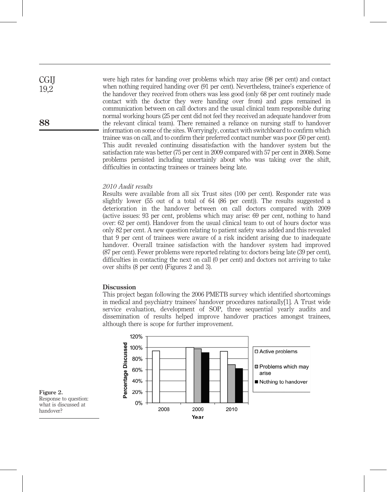were high rates for handing over problems which may arise (98 per cent) and contact when nothing required handing over (91 per cent). Nevertheless, trainee's experience of the handover they received from others was less good (only 68 per cent routinely made contact with the doctor they were handing over from) and gaps remained in communication between on call doctors and the usual clinical team responsible during normal working hours (25 per cent did not feel they received an adequate handover from the relevant clinical team). There remained a reliance on nursing staff to handover information on some of the sites. Worryingly, contact with switchboard to confirm which trainee was on call, and to confirm their preferred contact number was poor (50 per cent). This audit revealed continuing dissatisfaction with the handover system but the satisfaction rate was better (75 per cent in 2009 compared with 57 per cent in 2008). Some problems persisted including uncertainly about who was taking over the shift, difficulties in contacting trainees or trainees being late.

#### 2010 Audit results

Results were available from all six Trust sites (100 per cent). Responder rate was slightly lower (55 out of a total of 64 (86 per cent)). The results suggested a deterioration in the handover between on call doctors compared with 2009 (active issues: 93 per cent, problems which may arise: 69 per cent, nothing to hand over: 62 per cent). Handover from the usual clinical team to out of hours doctor was only 82 per cent. A new question relating to patient safety was added and this revealed that 9 per cent of trainees were aware of a risk incident arising due to inadequate handover. Overall trainee satisfaction with the handover system had improved (87 per cent). Fewer problems were reported relating to: doctors being late (39 per cent), difficulties in contacting the next on call (0 per cent) and doctors not arriving to take over shifts (8 per cent) (Figures 2 and 3).

#### **Discussion**

This project began following the 2006 PMETB survey which identified shortcomings in medical and psychiatry trainees' handover procedures nationally[1]. A Trust wide service evaluation, development of SOP, three sequential yearly audits and dissemination of results helped improve handover practices amongst trainees, although there is scope for further improvement.



Figure 2. Response to question: what is discussed at handover?

**CGII** 19,2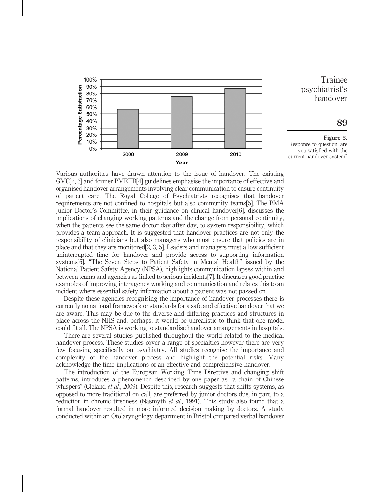

Various authorities have drawn attention to the issue of handover. The existing GMC[2, 3] and former PMETB[4] guidelines emphasise the importance of effective and organised handover arrangements involving clear communication to ensure continuity of patient care. The Royal College of Psychiatrists recognises that handover requirements are not confined to hospitals but also community teams[5]. The BMA Junior Doctor's Committee, in their guidance on clinical handover[6], discusses the implications of changing working patterns and the change from personal continuity, when the patients see the same doctor day after day, to system responsibility, which provides a team approach. It is suggested that handover practices are not only the responsibility of clinicians but also managers who must ensure that policies are in place and that they are monitored[2, 3, 5]. Leaders and managers must allow sufficient uninterrupted time for handover and provide access to supporting information systems[6]. "The Seven Steps to Patient Safety in Mental Health" issued by the National Patient Safety Agency (NPSA), highlights communication lapses within and between teams and agencies as linked to serious incidents[7]. It discusses good practise examples of improving interagency working and communication and relates this to an incident where essential safety information about a patient was not passed on.

Despite these agencies recognising the importance of handover processes there is currently no national framework or standards for a safe and effective handover that we are aware. This may be due to the diverse and differing practices and structures in place across the NHS and, perhaps, it would be unrealistic to think that one model could fit all. The NPSA is working to standardise handover arrangements in hospitals.

There are several studies published throughout the world related to the medical handover process. These studies cover a range of specialties however there are very few focusing specifically on psychiatry. All studies recognise the importance and complexity of the handover process and highlight the potential risks. Many acknowledge the time implications of an effective and comprehensive handover.

The introduction of the European Working Time Directive and changing shift patterns, introduces a phenomenon described by one paper as "a chain of Chinese whispers" (Cleland *et al.*, 2009). Despite this, research suggests that shifts systems, as opposed to more traditional on call, are preferred by junior doctors due, in part, to a reduction in chronic tiredness (Nasmyth et al., 1991). This study also found that a formal handover resulted in more informed decision making by doctors. A study conducted within an Otolaryngology department in Bristol compared verbal handover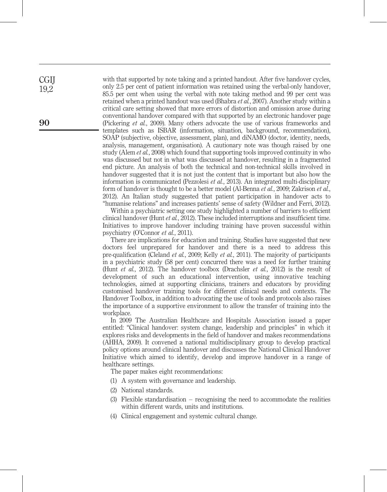with that supported by note taking and a printed handout. After five handover cycles, only 2.5 per cent of patient information was retained using the verbal-only handover, 85.5 per cent when using the verbal with note taking method and 99 per cent was retained when a printed handout was used (Bhabra et al., 2007). Another study within a critical care setting showed that more errors of distortion and omission arose during conventional handover compared with that supported by an electronic handover page (Pickering et al., 2009). Many others advocate the use of various frameworks and templates such as ISBAR (information, situation, background, recommendation), SOAP (subjective, objective, assessment, plan), and diNAMO (doctor, identity, needs, analysis, management, organisation). A cautionary note was though raised by one study (Alem et al., 2008) which found that supporting tools improved continuity in who was discussed but not in what was discussed at handover, resulting in a fragmented end picture. An analysis of both the technical and non-technical skills involved in handover suggested that it is not just the content that is important but also how the information is communicated (Pezzolesi *et al.*, 2013). An integrated multi-disciplinary form of handover is thought to be a better model (Al-Benna et al., 2009; Zakrison et al., 2012). An Italian study suggested that patient participation in handover acts to "humanise relations" and increases patients' sense of safety (Wildner and Ferri, 2012).

Within a psychiatric setting one study highlighted a number of barriers to efficient clinical handover (Hunt et al., 2012). These included interruptions and insufficient time. Initiatives to improve handover including training have proven successful within psychiatry (O'Connor et al., 2011).

There are implications for education and training. Studies have suggested that new doctors feel unprepared for handover and there is a need to address this pre-qualification (Cleland et al., 2009; Kelly et al., 2011). The majority of participants in a psychiatric study (58 per cent) concurred there was a need for further training (Hunt *et al.*, 2012). The handover toolbox (Drachsler *et al.*, 2012) is the result of development of such an educational intervention, using innovative teaching technologies, aimed at supporting clinicians, trainers and educators by providing customised handover training tools for different clinical needs and contexts. The Handover Toolbox, in addition to advocating the use of tools and protocols also raises the importance of a supportive environment to allow the transfer of training into the workplace.

In 2009 The Australian Healthcare and Hospitals Association issued a paper entitled: "Clinical handover: system change, leadership and principles" in which it explores risks and developments in the field of handover and makes recommendations (AHHA, 2009). It convened a national multidisciplinary group to develop practical policy options around clinical handover and discusses the National Clinical Handover Initiative which aimed to identify, develop and improve handover in a range of healthcare settings.

The paper makes eight recommendations:

- (1) A system with governance and leadership.
- (2) National standards.
- (3) Flexible standardisation recognising the need to accommodate the realities within different wards, units and institutions.
- (4) Clinical engagement and systemic cultural change.

90

**CGII** 19,2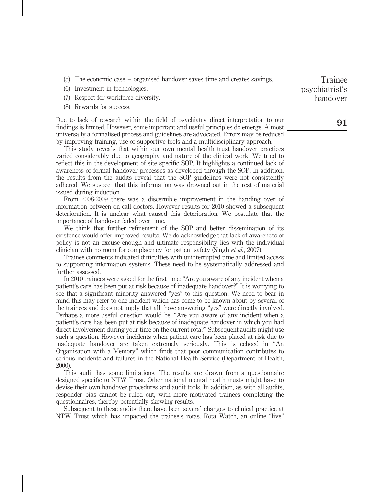- (5) The economic case organised handover saves time and creates savings.
- (6) Investment in technologies.
- (7) Respect for workforce diversity.
- (8) Rewards for success.

Due to lack of research within the field of psychiatry direct interpretation to our findings is limited. However, some important and useful principles do emerge. Almost universally a formalised process and guidelines are advocated. Errors may be reduced by improving training, use of supportive tools and a multidisciplinary approach.

This study reveals that within our own mental health trust handover practices varied considerably due to geography and nature of the clinical work. We tried to reflect this in the development of site specific SOP. It highlights a continued lack of awareness of formal handover processes as developed through the SOP. In addition, the results from the audits reveal that the SOP guidelines were not consistently adhered. We suspect that this information was drowned out in the rest of material issued during induction.

From 2008-2009 there was a discernible improvement in the handing over of information between on call doctors. However results for 2010 showed a subsequent deterioration. It is unclear what caused this deterioration. We postulate that the importance of handover faded over time.

We think that further refinement of the SOP and better dissemination of its existence would offer improved results. We do acknowledge that lack of awareness of policy is not an excuse enough and ultimate responsibility lies with the individual clinician with no room for complacency for patient safety (Singh et al., 2007).

Trainee comments indicated difficulties with uninterrupted time and limited access to supporting information systems. These need to be systematically addressed and further assessed.

In 2010 trainees were asked for the first time: "Are you aware of any incident when a patient's care has been put at risk because of inadequate handover?" It is worrying to see that a significant minority answered "yes" to this question. We need to bear in mind this may refer to one incident which has come to be known about by several of the trainees and does not imply that all those answering "yes" were directly involved. Perhaps a more useful question would be: "Are you aware of any incident when a patient's care has been put at risk because of inadequate handover in which you had direct involvement during your time on the current rota?" Subsequent audits might use such a question. However incidents when patient care has been placed at risk due to inadequate handover are taken extremely seriously. This is echoed in "An Organisation with a Memory" which finds that poor communication contributes to serious incidents and failures in the National Health Service (Department of Health, 2000).

This audit has some limitations. The results are drawn from a questionnaire designed specific to NTW Trust. Other national mental health trusts might have to devise their own handover procedures and audit tools. In addition, as with all audits, responder bias cannot be ruled out, with more motivated trainees completing the questionnaires, thereby potentially skewing results.

Subsequent to these audits there have been several changes to clinical practice at NTW Trust which has impacted the trainee's rotas. Rota Watch, an online "live"

Trainee psychiatrist's handover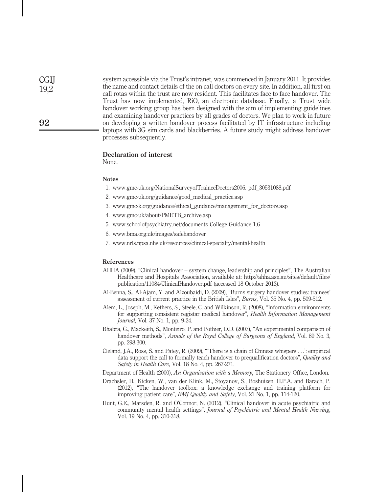**CGII** 19,2

system accessible via the Trust's intranet, was commenced in January 2011. It provides the name and contact details of the on call doctors on every site. In addition, all first on call rotas within the trust are now resident. This facilitates face to face handover. The Trust has now implemented, RiO, an electronic database. Finally, a Trust wide handover working group has been designed with the aim of implementing guidelines and examining handover practices by all grades of doctors. We plan to work in future on developing a written handover process facilitated by IT infrastructure including laptops with 3G sim cards and blackberries. A future study might address handover processes subsequently.

#### Declaration of interest

None.

#### **Notes**

- 1. www.gmc-uk.org/NationalSurveyofTraineeDoctors2006. pdf\_30531088.pdf
- 2. www.gmc-uk.org/guidance/good\_medical\_practice.asp
- 3. www.gmc-k.org/guidance/ethical\_guidance/management\_for\_doctors.asp
- 4. www.gmc-uk/about/PMETB\_archive.asp
- 5. www.schoolofpsychiatry.net/documents College Guidance 1.6
- 6. www.bma.org.uk/images/safehandover
- 7. www.nrls.npsa.nhs.uk/resources/clinical-specialty/mental-health

#### References

- AHHA (2009), "Clinical handover system change, leadership and principles", The Australian Healthcare and Hospitals Association, available at: http://ahha.asn.au/sites/default/files/ publication/11084/ClinicalHandover.pdf (accessed 18 October 2013).
- Al-Benna, S., Al-Ajam, Y. and Alzoubaidi, D. (2009), "Burns surgery handover studies: trainees' assessment of current practice in the British Isles", Burns, Vol. 35 No. 4, pp. 509-512.
- Alem, L., Joseph, M., Kethers, S., Steele, C. and Wilkinson, R. (2008), "Information environments for supporting consistent registar medical handover", Health Information Management Journal, Vol. 37 No. 1, pp. 9-24.
- Bhabra, G., Mackeith, S., Monteiro, P. and Pothier, D.D. (2007), "An experimental comparison of handover methods", Annals of the Royal College of Surgeons of England, Vol. 89 No. 3, pp. 298-300.
- Cleland, J.A., Ross, S. and Patey, R. (2009), "'There is a chain of Chinese whispers ...': empirical data support the call to formally teach handover to prequalification doctors", Quality and Safety in Health Care, Vol. 18 No. 4, pp. 267-271.
- Department of Health (2000), An Organisation with a Memory, The Stationery Office, London.
- Drachsler, H., Kicken, W., van der Klink, M., Stoyanov, S., Boshuizen, H.P.A. and Barach, P. (2012), "The handover toolbox: a knowledge exchange and training platform for improving patient care", BMJ Quality and Safety, Vol. 21 No. 1, pp. 114-120.
- Hunt, G.E., Marsden, R. and O'Connor, N. (2012), "Clinical handover in acute psychiatric and community mental health settings", Journal of Psychiatric and Mental Health Nursing, Vol. 19 No. 4, pp. 310-318.